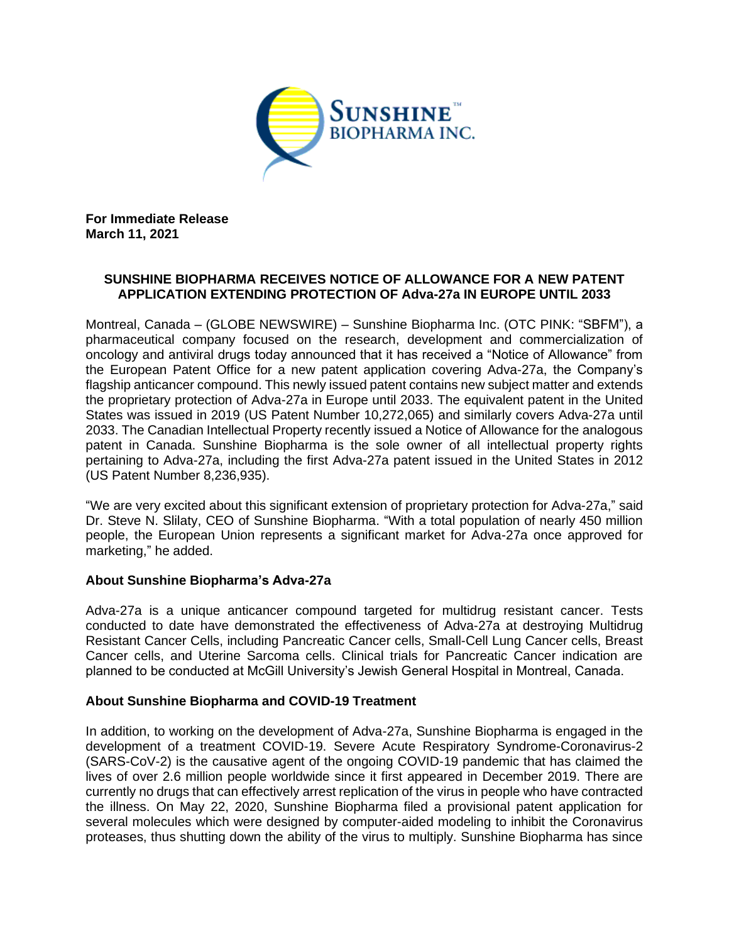

**For Immediate Release March 11, 2021**

## **SUNSHINE BIOPHARMA RECEIVES NOTICE OF ALLOWANCE FOR A NEW PATENT APPLICATION EXTENDING PROTECTION OF Adva-27a IN EUROPE UNTIL 2033**

Montreal, Canada – (GLOBE NEWSWIRE) – Sunshine Biopharma Inc. (OTC PINK: "SBFM"), a pharmaceutical company focused on the research, development and commercialization of oncology and antiviral drugs today announced that it has received a "Notice of Allowance" from the European Patent Office for a new patent application covering Adva-27a, the Company's flagship anticancer compound. This newly issued patent contains new subject matter and extends the proprietary protection of Adva-27a in Europe until 2033. The equivalent patent in the United States was issued in 2019 (US Patent Number 10,272,065) and similarly covers Adva-27a until 2033. The Canadian Intellectual Property recently issued a Notice of Allowance for the analogous patent in Canada. Sunshine Biopharma is the sole owner of all intellectual property rights pertaining to Adva-27a, including the first Adva-27a patent issued in the United States in 2012 (US Patent Number 8,236,935).

"We are very excited about this significant extension of proprietary protection for Adva-27a," said Dr. Steve N. Slilaty, CEO of Sunshine Biopharma. "With a total population of nearly 450 million people, the European Union represents a significant market for Adva-27a once approved for marketing," he added.

## **About Sunshine Biopharma's Adva-27a**

Adva-27a is a unique anticancer compound targeted for multidrug resistant cancer. Tests conducted to date have demonstrated the effectiveness of Adva-27a at destroying Multidrug Resistant Cancer Cells, including Pancreatic Cancer cells, Small-Cell Lung Cancer cells, Breast Cancer cells, and Uterine Sarcoma cells. Clinical trials for Pancreatic Cancer indication are planned to be conducted at McGill University's Jewish General Hospital in Montreal, Canada.

## **About Sunshine Biopharma and COVID-19 Treatment**

In addition, to working on the development of Adva-27a, Sunshine Biopharma is engaged in the development of a treatment COVID-19. Severe Acute Respiratory Syndrome-Coronavirus-2 (SARS-CoV-2) is the causative agent of the ongoing COVID-19 pandemic that has claimed the lives of over 2.6 million people worldwide since it first appeared in December 2019. There are currently no drugs that can effectively arrest replication of the virus in people who have contracted the illness. On May 22, 2020, Sunshine Biopharma filed a provisional patent application for several molecules which were designed by computer-aided modeling to inhibit the Coronavirus proteases, thus shutting down the ability of the virus to multiply. Sunshine Biopharma has since